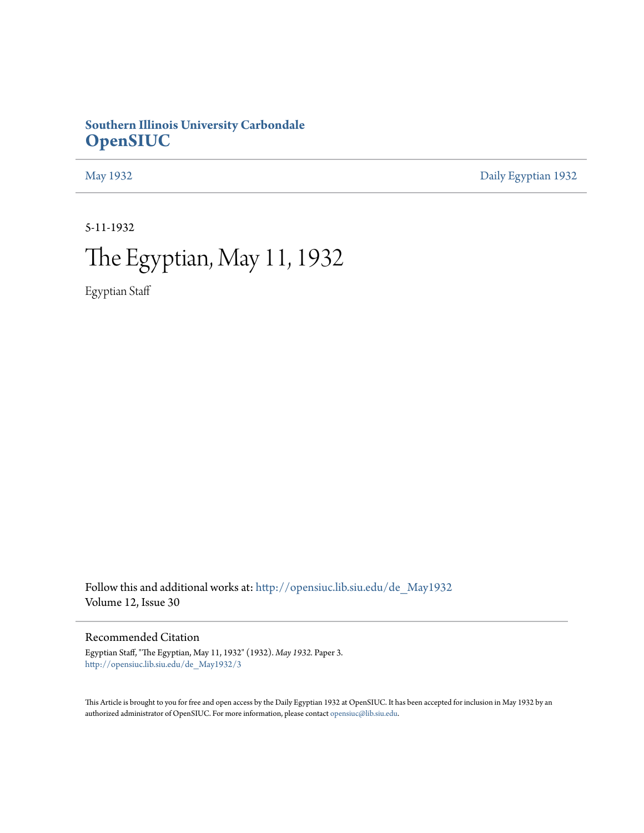# **Southern Illinois University Carbondale [OpenSIUC](http://opensiuc.lib.siu.edu?utm_source=opensiuc.lib.siu.edu%2Fde_May1932%2F3&utm_medium=PDF&utm_campaign=PDFCoverPages)**

[May 1932](http://opensiuc.lib.siu.edu/de_May1932?utm_source=opensiuc.lib.siu.edu%2Fde_May1932%2F3&utm_medium=PDF&utm_campaign=PDFCoverPages) [Daily Egyptian 1932](http://opensiuc.lib.siu.edu/de_1932?utm_source=opensiuc.lib.siu.edu%2Fde_May1932%2F3&utm_medium=PDF&utm_campaign=PDFCoverPages)

5-11-1932

# The Egyptian, May 11, 1932

Egyptian Staff

Follow this and additional works at: [http://opensiuc.lib.siu.edu/de\\_May1932](http://opensiuc.lib.siu.edu/de_May1932?utm_source=opensiuc.lib.siu.edu%2Fde_May1932%2F3&utm_medium=PDF&utm_campaign=PDFCoverPages) Volume 12, Issue 30

Recommended Citation

Egyptian Staff, "The Egyptian, May 11, 1932" (1932). *May 1932.* Paper 3. [http://opensiuc.lib.siu.edu/de\\_May1932/3](http://opensiuc.lib.siu.edu/de_May1932/3?utm_source=opensiuc.lib.siu.edu%2Fde_May1932%2F3&utm_medium=PDF&utm_campaign=PDFCoverPages)

This Article is brought to you for free and open access by the Daily Egyptian 1932 at OpenSIUC. It has been accepted for inclusion in May 1932 by an authorized administrator of OpenSIUC. For more information, please contact [opensiuc@lib.siu.edu](mailto:opensiuc@lib.siu.edu).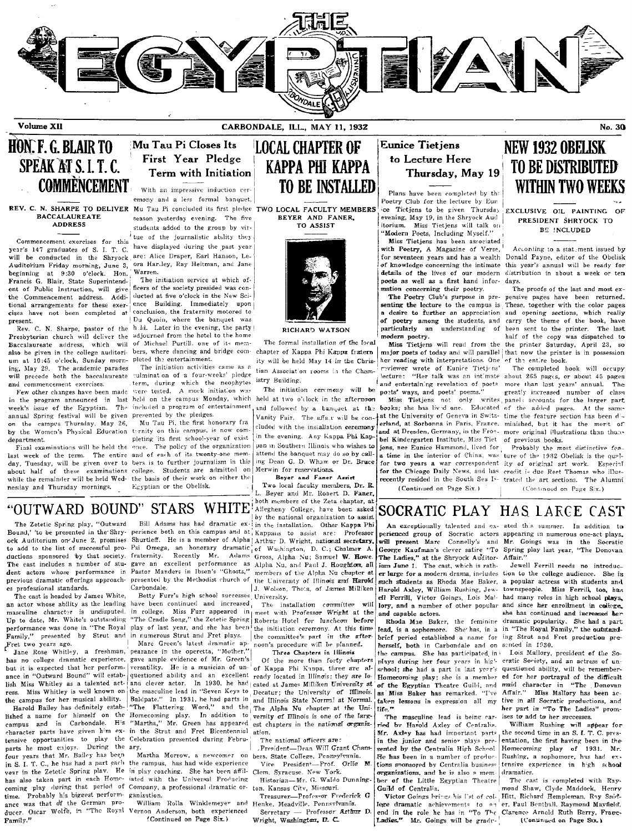

Volume XII

CARBONDALE, ILL., MAY 11, 1932

# HON. F. G. BLAIR TO SPEAK AT S.I.T.C. **COMMENCEMENT**

#### REV. C. N. SHARPE TO DELIVER **BACCALAUREATE ADDRESS**

year's 147 graduates of S. I. T. C. will be conducted in the Shryock are: Alice Draper, Earl Hanson, Le-Auditorium Friday morning, June 3, ora Hardey, Ray Heitman, and Jane beginning at 9:30 o'clock. Hon. Francis G. Blair, State Superintendent of Public Instruction, will give the Commencement address. Additional arrangements for these exercises have not been completed at present.

Rev. C. N. Sharpe, pastor of the Presbyterian church will deliver the Baccalaureate address, which will also be given in the college auditorium at 10:45 o'clock, Sunday morning, May 29. The academic parades will precede both the baccalaureate and commencement exercises.

Few other changes have been made in the program announced in last week's issue of the Egyptian. The annual Spring festival will be given on the campus Thursday, May 26, by the Women's Physical Education department.

Final examinations will be held the last week of the term. The entire day, Tuesday, will be given over to about half of these examinations college. Students are admitted on while the remainder will be held Wednesday and Thursday mornings.

## Mu Tau Pi Closes Its First Year Pledge Term with Initiation

With an impressive induction ceremony and a less formal banquet. Mu Tau Pi concluded its first pledge TWO LOCAL FACULTY MEMBERS season yesterday evening. The five students added to the group by vir-Commencement exercises for this have displayed during the past year

Warren. The initiation service at which officers of the society presided was conducted at five o'clock in the New Science Building. Immediately upon conclusion, the fraternity motored to Du Quoin, where the banquet was h ld. Later in the evening, the party adjourned from the hotel to the home of Michael Purtill, one of its members, where dancing and bridge completed the entertainment.

The initiation activities came as a culmination of a four-weeks' pledge term, during which the neophytes were tested. A mock initiation was held on the campus Monday, which included a program of entertainment presented by the pledges.

Mu Tau Pi, the first honorary fra ternity on this campus, is now completing its first school-year of exist The policy of the organization and of each of its twenty-one mem bers is to further journalism in this the basis of their work on either the Egyptian or the Obelisk.

'LOCAL CHAPTER OF КАРРА РНІ КАРРА **TO BE INSTALLED** 

BEYER AND FANER, TO ASSIST



#### RICHARD WATSON

The formal installation of the local chapter of Kappa Phi Kappa fratern ity will be held May 14 in the Christian Association rooms in the Chemistry Building.

The initiation ceremony will be held at two o'clock in the aftermoon and followed by a banquet at the Vanity Fair. The affa.r will be concluded with the installation ceremony in the evening. Any Kappa Phi Kappan in Southern Illinois who wishes to attend the banquet may do so by calling Dean G. D. Wham or Dr. Bruce Merwin for reservations.

Bever and Faner Assist

Two local faculty members, Dr. R L. Beyer and Mr. Robert D. Faner both members of the Zeta chapter, at by the national organization to assist Bill Adams has had dramatic ex- in the installation. Other Kappa Ph

> The installation committee will meet with Professor Wright at the Roberts Hotel for luncheon before the initiation ceremony. At this time<br>the committee's part in the afternoon's procedure will be planned.

Of the more than forty chapter versatility. He is a musician of un- of Kappa Phi Kappa, three are alquestioned ability and an excellent ready located in Illinois; they are Ioand clever actor. In 1930, he had cated at James Milliken University at the masculine lead in "Seven Keys to Decatur; the University of Illinois. Baldpate." In 1931, he had parts in and Illinois State Normal at Normal. "The Flattering Word," and the The Alpha Nu chapter at the University of Illinois is one of the larg-"Martha," Mr. Green has appeared est chapters in the national organiz-

The national officers are:

.President-Dean Will Grant Cham-Vice President-Prof. Orlie Clem. Syracuse. New York.

Historian-Mr. G. Waldo Dunning ton, Kansas Cítv, Missouri.

William Rolla Winklemeyer and Henke, Meadville, Pennsylvania.

Wright, Washington, D. C.

### **Eunice Tietjens** to Lecture Here Thursday, May 19

Plans have been completed by th Poetry Club for the lecture by Eur ice Tietjens to be given Thursday evening, May 19, in the Shryock Aud itorium. Miss Tietjens will talk on "Modern Poets, Including Myself."

Miss Tietjens has been associated with Poetry, A Magazine of Verse, for seventeen years and has a wealth Donald Payne, editor of the Obelisk of knowledge concerning the intimate this year's annual will be ready for details of the lives of our modern poets as well as a first hand information concerning their poetry.

The Poetry Club's purpose in presenting the lecture to the campus is a desire to further an appreciation and opening sections, which really of poetry among the students, and particularly an understanding of modern poetry.

Miss Tietjens will read from the major poets of today and will parallel that now the printer is in possession her reading with interpretations. One reviewer wrote of Eunice Tietjens'<br>lecture: "Her talk was an intimate and entertaining revelation of poets poets' ways, and poets' poems."

Miss Tietjens not only writes books; she has lived one. Educated at the University of Geneva in Switzerland at Sorbonna in Paris. France. and at Dresden, Germany, in the Fronbel Kindergarten Institute, Miss Tiet jens, nee Eunice Hammond, lived for a time in the interior of China, was for two years a war correspondent for the Chicago Daily News, and has recently resided in the South Sea Is-

(Continued on Page Six.)

ium June 1. The cast, which is rath-

such students as Rhoda Mae Baker.

Harold Axley, William Rushing, Jew-

ell Ferrill, Victor Goines, Lois Mal-

Rhoda Mae Baker, the feminine

lead, is a sophomore. She'has, in a

school; she had a part in last year's

Homecoming play; she is a member

of the Egyptian Theatre Guild, and

as Miss Baker has remarked. "I've

taken lessons in expression all my

ried by Harold Axley of Centralia.

Mr. Axley has had important parts

in the junior and senior plays pre-

sented by the Centralia High School.

He has been in a number of produc-

tions snonsored by Centralia business

organizations, and he is also a mem-

ber of the Little Egyptian Theatre

Victor Goings brings his list of col-

lege dramatic achievements to an

Guild of Centralia.

The masculine lead is being car-

NEW 1932 OBELISK **TO BE DISTRIBUTED WITHIN TWO WEEKS** 

 $No.30$ 

EXCLUSIVE OIL PAINTING OF PRESIDENT SHRYOCK TO **BE INCLUDED** 

According to a statement issued by distribution in about a week or ten days.

The proofs of the last and most expensive pages have been returned. These, together with the color pages carry the theme of the book, have been sent to the printer. The last half of the copy was dispatched to the printer Saturday, April 23, so of the entire book.

The completed book will occupy about 265 pages, or about 45 pages more than last years' annual. The greatly increased number of class panel: accounts for the larger part of the added pages. At the sametime the feature section has been d'minished, but it has the merit of more original illustrations than those of previous books.

Probably the most distinctive feature of the 1932 Obelisk is the quality of original art work. Especial credit is due Reet Thomas who illustrated the art sections. The Alumni (Continued on Page Six.)

#### STARS WHITE! Allegheny College, have been asked "OUTWARD BOUND"

The Zetetic Spring play, "Outward Bound,' 'to be presented in the Shryock Auditorium on June 2, promises to add to the list of successful productions sponsored by that society. The cast includes a number of student actors whose performance in Pastor Manders in Ibsen's "Ghosts," previous dramatic offerings approaches professional standards.

The cast is headed by James White, an actor whose ability as the leading masculine character is undisputed. Up to date, Mr. White's outstanding performance was done in "The Royal Family," presented by Strut and Fret two years ago.

Jane Rose Whitley, a freshman, has no college dramatic experience, gave ample evidence of Mr. Green's but it is expected that her performance in "Outward Bound" will establish Miss Whitley as a talented actress. Miss Whitley is well known on the campus for her musical ability.

Harold Bailey has definitely established a name for himself on the Homecoming play. In addition to campus and in Carbondale. His character parts have given him ex- in the Strut and Fret Bicentennial ation. tensive opportunities to play the Celebration presented during Februparts he most enjoys. During the ary, four years that Mr. Bailey has been in S. I. T. C., he has had a part each the campus, has had wide experience vear in the Zetetic Spring play. He in play coaching. She has been affilhas also taken part in each Home- iated with the Universal Producing coming play during that period of Company, a professional dramatic ortime. Probably his biggest perform- ganization. ance was that of the German producer. Oscar Wolfe, in "The Royal Vernon Anderson, both experienced Family."

perience both on this campus and at Kappans to assist are: Professor Shurtleff. He is a member of Alpha Arthur D. Wright, national secretary Psi Omega, an honorary dramatic of Washington, D. C.; Chalmer A. fraternity. gave an excellent performance as Alpha Nu, and Paul J. Houghton, all presented by the Methodist church of the University of Illinois and Harold Carbondale.

Betty Furr's high school successes University. have been continued and increased Miss Furr appeared in in college. "The Cradle Song," the Zetetic Spring play of last year, and she has been in numerous Strut and Fret plays.

Marc Green's latest dramatic appearance in the operetta, "Mother,"

Martha Morrow, a newcomer on bers, State College, Pennsylvania.

(Continued on Page Six.)

Recently Mr. Adams Gross, Alpha Nu; Samuel W. Howe members of the Alpha Nu chapter at J. Wolson, Theta, of James Milliken and capable actors.

Three Chapters in Illinois

Treasurer-Professor Frederick G

Secretary - Professor Arthur D.

SOCRATIC PLAY HAS LARCE CAST An exceptionally talented and ex- ated this summer. In addition to perienced group of Socratic actors appearing in numerous one-act plays. will present Marc Connelly's and Mr. Goings was in the Socratic George Kaufman's clever satire "To Spring play last year, "The Donovan The Ladies," at the Shryock Auditor- Affair.'

Jewell Ferrill needs no introducer large for a modern drama, includes tion to the college audience. She is a popular actress with students and townspeople. Miss Ferrill, too, has had many roles in high school plays, lory, and a number of other popular and since her enrollment in college, she has continued and increased her dramatic popularity. She had a part in "The Royal Family," the outstandbrief period established a name for ing Strut and Fret production preherself. both in Carbondale and on sented in 1930.

Lois Mallory, president of the Sothe campus. She has participated in plays during her four years in high cratic Soriety, and an actress of unquestioned ability, will be remembered for her portrayal of the difficult maid character in "The Donovan Affair." Miss Mallory has been active in all Socratic productions, and her part in "To The Ladies" promises to add to her successes.

William Rushing will appear for the second time in an S. I. T. C. presentation, the first having been in the Homecoming play of 1931. Mr. Rushing, a sophomore, has had extensive experience in high school dramatics.

The cast is completed with Ravmond Shaw, Clyde Maddock, Henry Hitt, Richard Hempleman, Ray Snider, Paul Benthall, Raymond Mavfield, end in the role has in "To The Clarence Arnold Ruth Berry, Francisco<br>Ladies." Mr. Goings will be grady-<br>Ladies." Mr. Goings will be grady-<br>(Continued on Page Stx.)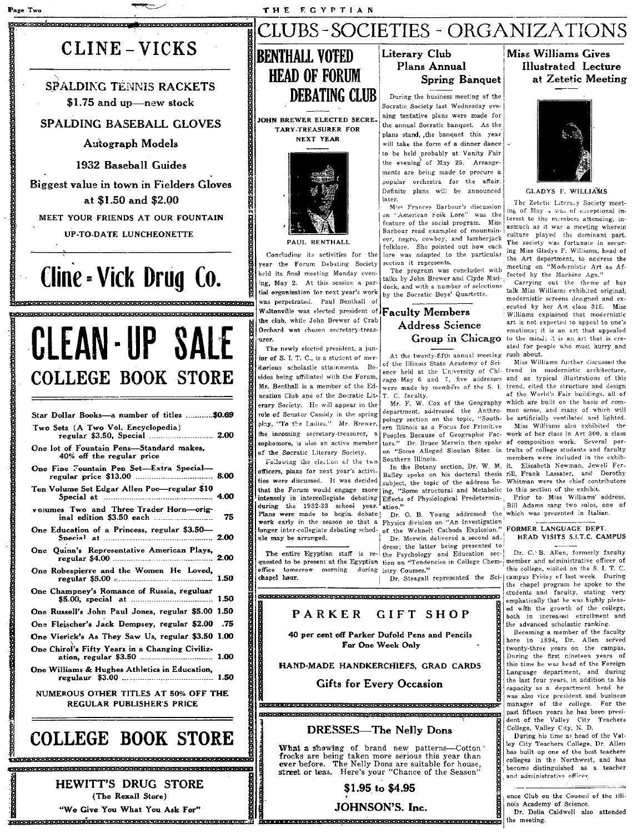# CLINE - VICKS

Page Two

**SPALDING TENNIS RACKETS** \$1.75 and up-new stock

### SPALDING BASEBALL GLOVES

Autograph Models

1932 Baseball Guides

Biggest value in town in Fielders Gloves at \$1.50 and \$2.00

MEET YOUR FRIENDS AT OUR FOUNTAIN UP-TO-DATE LUNCHEONETTE

# Cline - Vick Drug Co.

# CLEAN-UP SALE **COLLEGE BOOK STORE**

| Star Dollar Books-a number of titles  \$0.69                             |      |
|--------------------------------------------------------------------------|------|
| Two Sets (A Two Vol, Encyclopedia)<br>regular \$3.50, Special  2.00      |      |
| One lot of Fountain Pens-Standard makes,<br>40% off the regular price    |      |
| One Fine Fountain Pen Set-Extra Special-                                 |      |
| Ten Volume Set Edgar Allen Poe-regular \$10                              |      |
| volumes Two and Three Trader Horn-orig                                   | - 71 |
| One Education of a Princess, regular \$3.50-                             |      |
| One Quinn's Representative American Plays,                               |      |
| One Robespierre and the Women He Loved,                                  |      |
| One Champney's Romance of Russia, reguluar                               |      |
| One Russell's John Paul Jones, regular \$5.00 1.50                       |      |
| One Fleischer's Jack Dempsey, regular \$2.00 .75                         |      |
| One Vierick's As They Saw Us, regular \$3.50 1.00                        |      |
| One Chirol's Fifty Years in a Changing Civiliz-                          |      |
| One Williams & Hughes Athletics in Education,                            |      |
| NUMEROUS OTHER TITLES AT 50% OFF THE<br><b>REGULAR PUBLISHER'S PRICE</b> |      |
|                                                                          |      |

# **COLLEGE BOOK STORE**

**HEWITT'S DRUG STORE** (The Rexall Store) "We Give You What You Ask For"



JOHN BREWER ELECTED SECRE **TARY-TREASURER FOR NEXT YEAR** 



Concluding its activities for the vear the Forum Debating Society held its final meeting Monday evening, May 2. At this session a partial organization for next year's work vas perpetrated. Paul Benthall of Waltonville was elected president of Faculty Members the club, while John Brewer of Crab Orchard was chosen secretary-treasurer.

The newly elected president, a junfor of S. I. T. C., is a student of meritorious scholastic attainments. Besides being affiliated with the Forum. Mr. Benthall is a member of the Education Club and of the Socratic Literary Society. He will appear in the role of Senator Cassidy in the spring play, "To the Ladies." Mr. Brewer, of the Socratic Literary Society.

Following the election of the two officers, plans for next year's activiintensely in intercollegiate debating Effects of Physiological Predeterminduring the 1932-33 school year. Plans were made to begin debate!

ule may be arranged.

romanana amerikan

The entire Egyptian staff is requested to be present at the Egyptian tion on "Tendencies in College Chemduring istry Courses." office tomorrow morning chapel hour.

**CERRETERE EN EN EN EN EXECUTIVE EN EL EN EL EN EL EN EL EN EL EN EL EN EL EN EL EN EL EN EL EN EL EN EL EN EL** 

.<br>1980an 1980an 1980an 1980an 1980an 1980an 1980an 1980an 1980an 1980an 1980an 1980an 1980an 1980an 1980an 1980

### PARKER **GIFT SHOP**

40 per cent off Parker Dufold Pens and Pencils For One Week Only

HAND-MADE HANDKERCHIEFS. GRAD CARDS

### **Gifts for Every Occasion**

DRESSES-The Nelly Dons

What a showing of brand new patterns-Cotton Frocks are being taken more serious this year than<br>ever before. The Nelly Dons are suitable for house,<br>street or teas. Here's your "Chance of the Season"

## \$1.95 to \$4.95 JOHNSON'S. Inc.

### **Literary Club Plans Annual Spring Banquet**

CLUBS-SOCIETIES - ORGANIZATIONS

During the business meeting of the Socratic Society last Wednesday evening tentative plans were made for the annual Socratic banquet. As the plans stand, the banquet this year will take the form of a dinner dance to be held probably at Vanity Fair the evening of May 25. Arrangements are being made to procure a popular orchestra for the affair. Definite plans will be announced later

Miss Frances Barbour's discussion on "American Folk Lore" was the feature of the social program. Miss Barbour read examples of mountaineer, negro, cowboy, and lumberjack folklore. She pointed out now each lore was adapted to the particular section it represents.

The program was concluded with talks by John Brewer and Clyde Maddock, and with a number of selections by the Socratic Boys' Quartette.

# **Address Science**

At the twenty-fifth annual meeting rush about. of the Illinois State Academy of Science held at the University of Chi-trend in modernistic architecture, cago May 6 and 7, five addresses were made by members of the S. I. trend, cited the structure and design

T. C. faculty.<br>Mr. F. W. Cox of the Geography department, addressed the Anthro- mon sense, and many of which will pology section on the topic, "South- be artificially ventilated and lighted. ern Illinois as a Focus for Primitive the incoming secretary-treasurer, a peoples Because of Geographic Fac-work of her class in Art 300, a class<br>sophomore, is also an active member tors." Dr. Bruce Merwin then spoke of composition work. Several poron "Some Alleged Siouian Sites in Southern Illinois.

In the Botany section, Dr. W. M. it. Bailey spoke on his doctoral thesis rill, Frank Lassater, and Dorothy ties were discussed. It was decided subject, the topic of the address be- Whitman were the chief contributors that the Forum would engage more ing, "Some structural and Metabolic to this section of the exhibit. 'ation.'

work early in the season so that a Physics division on "An Investigation longer inter-collegiate debating sched-of the Wehnelt Cathods Explosion." FORMER LANGUAGE DEPT.

Dr. Merwin delivered a second ad-

Dr. Steagall represented the Sci-





#### CLADVS P

The Zetetic Literaly Society meeting of May + was of exceptional interest to the members attending, inasmuch as it was a meeting wherein culture played the dominant part. The society was fortunate in securing Miss Gladys P. Williams, head of the Art department, to address the meeting on "Modernistic Art as Affected by the Machine Age."

Carrying out the theme of her<br>talk Miss Williams exhibited original. modernistic screens designed and executed by her Art class 315. Miss Williams explained that modernistic art is not expected to appeal to one's emotions; it is an art that appealed Group in Chicago to the mind; it is an art that is created for people who must hurry and

Miss Williams further discussed the and as typical illustrations of this of the World's Fair buildings, all of which are built on the basis of com-

Miss Williams also exhibited the traits of college students and faculty members were included in the exhib-Elizabeth Newman, Jewell Fer-

Prior to- Miss Williams' address. Bill Adams sang two solos, one of Dr. O. B. Young addressed the which was presented in Italian.

HEAD VISITS S.I.T.C. CAMPUS

Dr. C. B. Allen, formerly faculty member and administrative officer of this college, visited on the S. I. T. C. campus Friday of last week. During the chanel program he spoke to the students and faculty, stating very emphatically that he was highly pleased with the growth of the college, both in increased enrollment and the advanced scholastic ranking.

Becoming a member of the faculty here in 1894, Dr. Allen served twenty-three years on the campus. During the first nineteen years of this time he was head of the Foreign Language department, and during the last four years, in addition to his capacity as a department head he was also vice president and business<br>manager of the college. For the past fifteen years he has been president of the Valley City Teachers College, Valley City, N. D.

During his time as head of the Valley City Teachers College, Dr. Allen has built up one of the best teachers<br>colleges in the Northwest, and has become distinguished as a teacher and administrative officer.

ence Club on the Council of the Illinois Academy of Science. Dr. Delia Caldwell also attended

the meeting.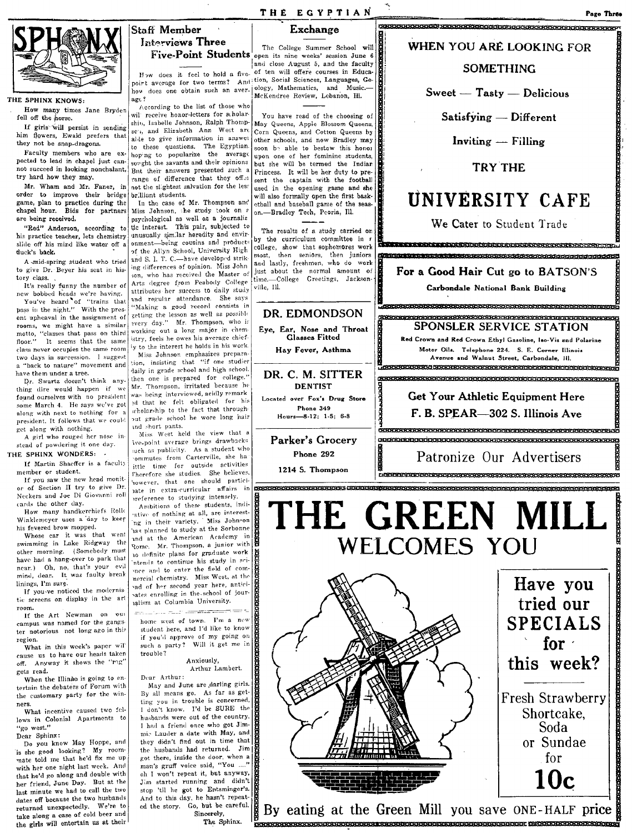

### THE SPHINX KNOWS,

How many times Jane Bryden fell off the horse.

If girls will persist in sending him flowers, Ewald prefers that they not be spap-dragons.

Faculty members who are expected to lead in chapel just cannot succeed in looking nonchalant, try hard how they may.

Mr. Wham and Mr. Faner, in order to improve their bridge game, plan to practice during- the chapel hour. Bids for partners are being received.

"Red" Anderson, according to his practice teacher, lets chemistry slide off his mind like water off a duck's back.

A smid-spring student who tried to give Dr. Beyer his scat in history class.

It's really funny the number of new bobbed heads we're having.

You've heard of "trains that<br>pass in the night." With the present upheaval in the assignment of rooms, we might have a similar motto, "classes that pass on third<br>floor." It seems that the same It seems that the same class never occupies the same room two days in succession. I suggest a "back to nature" movement and have them under a tree.

Dr. Swartz doesn't think anything dire would happen if We found ourselves with no president some March 4. He says we've got along with next to nothing for a president. It follows that we could get along with nothing.

A girl who rouged her nose in-<br>stead of powdering it one day. THE SPHINX WONDERS: -

If Martin Shaeffer is a faculty

member or student. If you saw the new head monitor of Section II try to give Dr. Neckers and Joe Di Giovanni roll cards the other day.

How many handkerchiefs Rollo Winklemeyer uses a day to keep his fevered brow mopped.

Whose car it was that went swimming in Lake Ridgway the other morning. (Somebody must have had a hang-over to park that near.) Oh, no, that's your evil mind, dear. It was faulty break linings, I'm sure.

If you-ve noticed the modernistic screens on display in the art room

If the Art Newman on our campus was named for the gangster notorious not long ago in this region.

What in this week's paper will cause us to have our heads taken off. Anyway it shows the "rig" gets read.

When the Illinae is going to en tertain the debaters of Forum with the customary party for the winners.

What incentive caused two fellows in Colonial Apartments to "go west."

Dear Sphinx:

Do you know May Hoppe, and is she good looking? My room-<br>mate told me that he'd fix me up with her one night last week. And that he'd go along and double with her friend, June Day. But at the last minute we had to call the two dates off because the two husbands returned unexpectedly. We're to take along a case of cold beer and the girls will entertain us at their

# THE EGYPTIAN<br>Staff Member | Exchange Interviews Three

poirt average for two terms? And; tion, Social Sciences, Languages, Gepoint average for two terms: And dogy, Mathematics, and Music.<br>hove does one obtain such an aver- McKendree Review, Lebanon, Ill.

wil receive honor-letters for scholarship, Isabelle Johnson, Ralph Thompscu, and Elizabeth Ann West are able to give information in answer to these questions. The Egyptian hoping to popularize the average sought the savants and their opinions But their answers presented such a range of difference that they offer not the slightest salvation for the less brilliant students.

In the case of Mr. Thompson and Miss Johnson, the study took on a psychological as well as a journalistic interest. This pair, subjected to unusually similar heredity and envir-<br>onment-being cousins and products of the Allyn School, University High and S. I. T. C .- have developed striking differences of opinion. Miss John son, who has received the Master of Arts degree from Peabody College attributes her success to daily study and regular attendance. She says "Making a good record consists in getting the lesson as well as possible avery day." Mr. Thompson, who is working out a long major in chemistry, feels he owes his average chiefly to the interest he holds in his work

Miss Johnson emphasizes prepara tion, insisting that "if one studies daily in grade school and high school then one is prepared for college. Mr. Thompson, irritated because he was being interviewed, acidly remark ed that he felt obligated for his out grade school he wore long hair ind short pants.

Miss West held the view that a We-point average brings drawbacks we-point average orings diameters<br>ach as publicity. As a student who ittle time for outside activities Therefore she studies. She believes however, that one should particinate in extra-curricular affairs in preference to studying intensely.

Ambitions of these students, indi-Ambitions of these seadered film ng in their variety. This common<br>has planned to study at the Sorbonne and at the American Academy in Rome. Mr. Thompson, a junior with to definite plans for graduate work ntends to continue his study in scimee and to enter the field of comnercial chemistry. Miss West, at the and of her second year here, anticind of her second year here, and the ialism at Columbia University.

home west of town. I'm a new student here, and I'd like to know jf you'd approve of my going Oil such a party? Will it get me in trouble?

#### Anxiously, Arthur Lambert.

Dear Arthur: May and June are .darling girls. By all means go. As far as getting you in trouble is concerned, I con't know. I'd be SURE the husbands were out of the country. I hnd a friend once who got Jimmic Lauder a date with May, and they didn't find out in time that | |<br>the husbands had returned. Jim | | got there, inside the door, when a man's gruff voice said, "You ...."<br>oh I won't repeat it, but anyway,  $\frac{1}{\sum_{\substack{J,m \text{ started running and didn't} \\ \text{stop 'til he got to Ertsninger's.}}}$ Jim started running and didn't stop 'til he got to Entsminger's. And to this day, he hasn't repeatcd the story. Go, but be careful.<br>Sincerely,

Five. Point Students open its nine weeks' session June 6 and close August 5, and the faculty How does it feel to hold a five- of ten will offere courses in Educa-

> You have read of the choosing of May Queens, Apple Blossom Queens, Corn Queens, and Cotton Queens by other schools, and now Bradley may soon by able to bestow this honor upon one of her feminine students, but she will be termed the Indian Princess. It will be her duty to present the captain with the football used in the opening game and she will also formally open the first baaketball and baseball game of the season.-Bradley Tech, Peoria, Ill.

The results of a study carried on by the curriculum committee in s college, show that sophomores work<br>most, then seniors, then juniors then seniors, then juniors and lastly, freshmen, who do work just about the normal amount of time.-C611egc Greetings, Jackflonviile, Ill.

**DENTIST** 

Phone 349



for  $\cdot$ this week?

Fresh Strawberry Shortcake, Soda or Sundae for

Staff Member I Exchange li'FSR9 BVSRVICWB e KKkBdkH¥VbHbHti ft -BRHRA RBH F'

WHEN YOU AR£ LOOKING FOR **SOMETHING** 

Page Three

 $S<sub>weet</sub> = T<sub>astro</sub> = D<sub>elicious</sub>$ 

 $Satisfying$  - Different

 $S_{\text{back}}^{\text{but be careful}}$  is  $S_{\text{back}}^{\text{in}}$  By eating at the Green Mill you save ONE-HALF price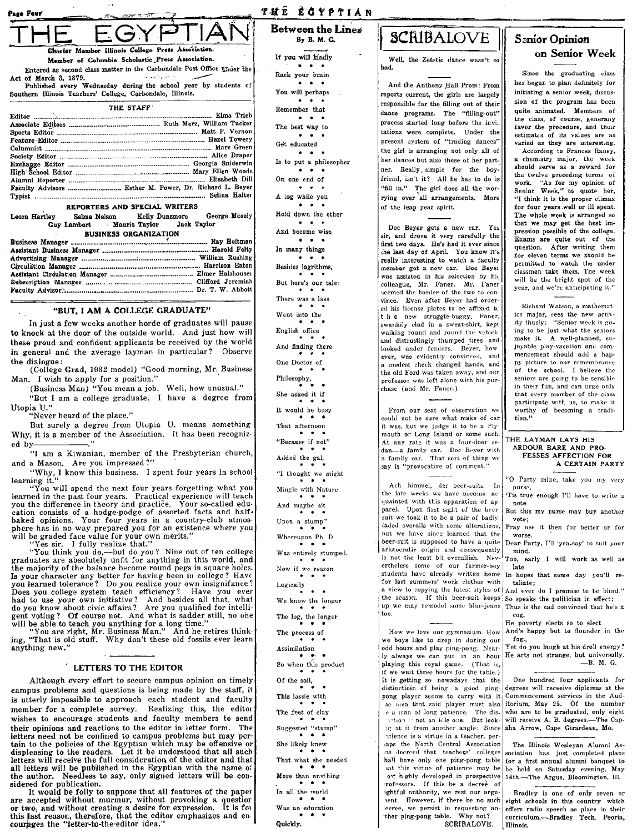| ıge Four |                                                                                                        |  | 左右 法法律 |  |  |  |
|----------|--------------------------------------------------------------------------------------------------------|--|--------|--|--|--|
|          |                                                                                                        |  |        |  |  |  |
|          | Charter Member Illinois College Press Association.<br>Member of Columbia Scholastic Press Association. |  |        |  |  |  |
|          |                                                                                                        |  |        |  |  |  |

Entered as second class matter in the Carbondale Post Office under the Act of March 3, 1879. Published every Wednesday during the school year by students of

Southern Illinois Teachers' College, Carbondale, Illinois.  $T112.07177$ 

| IBL SIAFF |  |
|-----------|--|
|           |  |
|           |  |
|           |  |
|           |  |
|           |  |
|           |  |
|           |  |
|           |  |
|           |  |
|           |  |
|           |  |
|           |  |

### REPORTERS AND SPECIAL WRITERS

Leora Hartley Selma Nelson Kelly Dunsmore George Mosely Maurie Taylor Jack Taylor Guy Lambert **BUSINESS ORGANIZATION** 

### "BUT, I AM A COLLEGE GRADUATE"

In just a few weeks another horde of graduates will pause to knock at the door of the outside world. And just how will these proud and confident applicants be received by the world in general and the average layman in particular? Observe the dialogue:

(College Grad, 1932 model) "Good morning, Mr. Business Man. I wish to apply for a position."

(Business Man) "You mean a job. Well, how unusual." "But I am a college graduate. I have a degree from Utopia U."

'Never heard of the place."

But surely a degree from Utopia U. means something Why, it is a member of the Association. It has been recognized by-

"I am a Kiwanian, member of the Presbyterian church, and a Mason. Are you impressed?"

"Why, I know this business. I spent four years in school learning it."

ou will spend the next four years forgetting what you learned in the past four years. Practical experience will teach you the difference in theory and practice. Your so-called education consists of a hodge-podge of assorted facts and half-<br>baked opinions. Your four years in a country-club atmosphere has in no way prepared you for an existence where you will be graded face value for your own merits."<br>"Yes sir. I fully realize that."

"You think you do,-but do you? Nine out of ten college<br>graduates are absolutely unfit for anything in this world, and the majority of the balance become round pegs in square holes.<br>Is your character any better for having been in college? Have you learned tolerance? Do you realize your own insignifance? you learned tolerance? Do you realize your own insignitance?<br>Does you college system teach efficiency? Have you cer<br>had to use your own initiative? And besides all that, what<br>do you know about civic affairs? Are you qualif

anything new."

### LETTERS TO THE EDITOR

Although every effort to secure campus opinion on timely campus problems and questions is being made by the staff, it is utterly impossible to approach each student and faculty member for a complete survey. Realizing this, the editor wishes to encourage students and faculty members to send their opinions and reactions to the editor in letter form. The letters need not be confined to campus problems but may pertain to the policies of the Egyptian which may be offensive or displeasing to the readers. Let it be understood that all such letters will receive the full consideration of the editor and that all letters will be published in the Egyptian with the name of<br>the author. Needless to say, only signed letters will be considered for publication.

It would be folly to suppose that all features of the paper are accepted without murmur, without provoking a question<br>or two, and without creating a desire for expression. It is for this last reason, therefore, that the editor emphasizes and encourages the "letter-to-the-editor idea."

THE ECYPTIAN Between the Lines By B. M. G.

If you will kindly

 $\mathbf{r}$  and Rack your brain  $\bullet \bullet \bullet$ You will perhaps Remember that  $\mathbf{r}$   $\mathbf{r}$   $\mathbf{r}$ The best way to  $\overline{a}$   $\overline{a}$   $\overline{a}$ Get educated  $\bullet$   $\bullet$ Is to put a philosopher  $\cdots$ On one end of  $\cdots$ A log while you  $\mathbf{r}$  ,  $\mathbf{r}$ Hold down the other  $\sim$   $\sim$ And become wise  $\bullet$   $\bullet$   $\bullet$ In many things  $\bullet$   $\bullet$ Besides logrithms, But here's our tale: ٠ There was a lass Went into the English office And finding there One Doctor of Philosophy, She asked it if It would be busy That afternoon

"Because if not" Added the gal, "I thought we might Mingle with Nature And maybe sit Upon a stump"

Whereupon Ph. D.

Was entirely stumped. Now if we reason Logically  $\sim$   $\sim$ We know the longer The log, the longer

The process of Assimilation

So when this product Of the soil, This lassie with

The feet of clay

Suggested "stump" She likely knew

That what she needed

More than anything

In all the world

Was an education

Quickly.

# SCRIBALOVE

Well, the Zetetic dance wasn't so bad.

And the Anthony Hall Prom: From reports current, the girls are largely responsible for the filling out of their dance programs. The "filling-out" process started long before the invitations were complete. Under the present system of "trading dances" the girl is arranging not only all of her dances but also those of her partner. Really, simple for the boyfriend, isn't it? All he has to do is "fill in." The girl does all the worrying over all arrangements. More of the leap year spirit.

Doc Beyer gets a new car. Yes sir, and drove it very carefully the first two days. He's had it ever since che last day of April. You know it's really interesting to watch a faculty member get a new car. Doc Bever was assisted in his selection by his colleague, Mr. Faner. Mr. Faner seemed the harder of the two to convince. Even after Beyer had ordered his license plates to be affixed to the new struggle-buggy, Faner, swankily clad in a sweat-shirt, kept walking round and round the vehicle and distrustingly thumped tires and looked under fenders. Bever, how ever, was evidently convinced, and a modest check changed hands, and the old Ford was taken away, and our professor was left alone with his purchase (and Mr. Faner.)

From our seat of observation we could not be sure what make of car it was, but we judge it to be a Ply mouth or Long Island or some such. At any rate it was a four-door sedan-a family car. Doc Beyer with<br>a family car. That sort of thing we<br>say is "provocative of comment."

Ach himmel, der beer-suits. In the late weeks we have become ac quainted with this apparation of ap parel. Upon first sight of the beer suit we took it to be a pair of badlycaded overalls with some alterations, but we have since learned that the beer-suit is supposed to have a quite aristocratic origin and consequently is not the least bit overallish. Nevertheless some of our farmer-boy students have already written home In hopes that some day you'll refor last summers' work clothes with a view to copying the latest styles of And ever do I promise to be blind." the season. If this beer-suit keeps So speaks the politician in effect; up we may remodel some blue-jeans too.

How we love our gymnasium. How we boys like to drop in during our odd hours and play ping-pong. Nearly always we can put in an hour playing this royal game. (That is, if we wait three hours for the table.) It is getting so nowadays that the distinctioin of being a good pingpong player seems to carry with it he tues that said player must also e a man of long patience. The dissation is not an idle one. But lookig at it from another angle: Since atience is a virtue in a teacher, peraps the North Central Association as decreed that teachers' colleges hall have only one ping-pong table<br>at this virtue of patience may be ost highly developed in prospective rofessors. If this be a decree of ightful authority, we rest our arguent. However, if there be no such lecree, we persist in requesting an-<br>ther ping-pong table. Why not? SCRIBALOVE.

## **Senior Opinion** on Senior Week

Since the graduating class has begun to plan definitely for initiating a senior week, discussion of the program has been quite animated. Members of the class, of course, generally favor the procedure, and their estimates of its values are as varied as they are interesting.

According to Frances Raney, a chemistry major, the week should serve as a reward for the twelve preceding terms of work. "As for my opinion of<br>Senior Week," to quote her, "I think it is the proper climax for four years well or ill spent. The whole week is arranged so that we may get the best impression possible of the college. Exams are quite out of the question. After writing them for eleven terms we should be permitted to watch the under classmen take them. The week will be the bright spot of the year, and we're anticipating it."

Richard Watson, a mathematics major, sees the new activity thusly: "Senior week is going to be just what the seniors make it. A well-planned, enjoyable play-vacation and commencement should add a hanpy picture to our remembrance of the school. I believe the seniors are going to be sensible in their fun, and can urge only that every member of the class participate with us, to make it worthy of becoming a tradition."

#### THE LAYMAN LAYS HIS ARDOUR BARE AND PRO-**FESSES AFFECTION FOR** A CERTAIN PARTY

'O Party mine, take you my very purse. 'Tis true enough I'll have to write a note

But this my purse may buy another vote;

Pray use it then for better or for **WOTSA** 

Dear Party, I'll 'yea-say' to suit your mind. Too, early I will work as well as

late

taliate;

Thus is the cad convinced that he's a

cog.

He poverty elects so to elect And's happy but to flounder in the fog.

Yet do you laugh at his droll energy? He acts not strange, but universally.  $-R. M. G.$ 

One hundred four applicants for degrees will receeive diplomas at the Commencement services in the Auditorium, May 25. Of the number who are to be graduated, only eight will receive A. B. degrees.-The Capaha Arrow, Cape Girardeau, Mo.

The Illinois Wesleyan Alumni Association has just completed plans for a first annual alumni banquet to be held on Saturday evening, May 14th.-The Argus, Bloomington, Ill.

Bradley is one of only seven or eight schools in this country which offers radio speech as place in their curriculum.-Bradley Tech, Peoria, Illinois.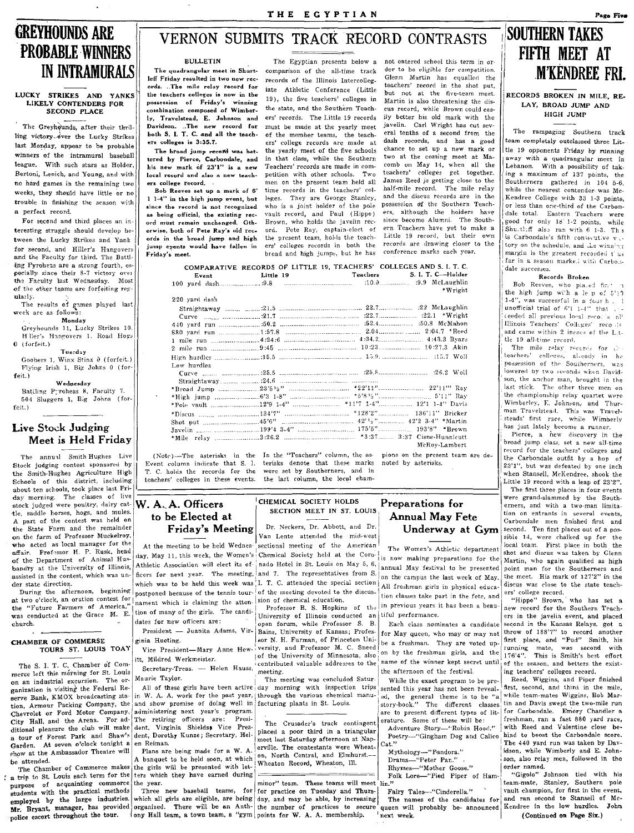# **GREYHOUNDS ARE PROBABLE WINNERS IN INTRAMURALS**

#### LUCKY STRIKES AND YANKS LIKELY CONTENDERS FOR SECOND PLACE

The Greyhounds, after their thrilling victory over the Lucky Strikes last Monday, appear to be probable winners of the intramural baseball league. With such stars as Holder, Bertoni, Lenich, and Young, and with no hard games in the remaining two weeks, they should have little or no trouble in finishing the season with a perfect record.

For second and third places an interesting struggle should develop between the Lucky Strikes and Yank for second, and Hiller's Hangovers and the Faculty for third. The Battling Pyrohens are a strong fourth, especially since their 8-7 victory over the Faculty last Wednesday. Most of the other teams are forfeiting regularly.

The results of games played last week are as follows:

Monday

Greyhounds 11, Lucky Strikes 10. H'ller's Hangovers 1. Road Hogs  $0$  (forfeit.)

Tuerday Goobers 1, Winx Stinx 0 (forfeit.) Flying Irish 1, Big Johns 0 (forfeit.)

Wednesday

Battling Pyroheas 8, Faculty 7. 504 Sluggers 1, Big Johns (for $f$ eit.)

### **Live Stock Judging** Meet is Held Friday

The annual Smith Hughes Live Stock judging contest sponsored by the Smith-Hughes Agriculture High Schools of this district, including about ten schools, took place last Friday morning. The classes of live stock judged were poultry, dairy cat- $W. A. A.$  Officers tle, saddle horses, hogs, and mules. A part of the contest was held on the State Farm and the remainder on the farm of Professor Muckelroy, who acted as local manager for the affair. Professor H. P. Rusk, head of the Department of Animal Husbandry at the University of Illinois, assisted in the contest, which was under state direction.

During the afternoon, beginning at two o'clock, an oration contest for the "Future Farmers of America," was conducted at the Grace M. E. church.

### **CHAMBER OF COMMERSE** TOURS ST. LOUIS TOAY

The S. I. T. C. Chamber of Commerce left this morning for St. Louis on an industrial excursion. The organization is visiting the Federal Reserve Bank, KMOX broadcasting station, Armour Packing Company, the Chevrolet or Ford Motor Company, City Hall, and the Arena. For additional pleasure the club will make a tour of Forest Park and Shaw's Garden. At seven o'clock tonight a show at the Ambassador Theatre will be attended.

The Chamber of Commerce makes a trip to St. Louis each term for the purpose of acquainting commerce students with the practical methods employed by the large industries. Mr. Bryant, manager, has provided police escort throughout the tour.

# VERNON SUBMITS TRACK RECORD CONTRASTS

THE EGYPTIAN

### **BULLETIN**

The quadrangular meet in Shurtleff Friday resulted in two new records. ..The mile relay record for the teachers colleges is now in the possession of Friday's winning combination composed of Wimberly, Travelstead, E. Johnson and Davidson. ..The new record for both S. I. T. C. and all the teach $er<sub>8</sub>$  colleges is  $3:35.7$ .

The broad jump record was bettered by Pierce, Carbondale, and his new mark of 23'1" is a new local record and also a new teachers college record...

Bob Reeves set up a mark of 6' 1 1-4" in the high jump event, but since the record is not recognized as being official, the existing record must remain unchanged. Otherwise, both of Pete Ray's old records in the broad jump and high jump events would have fallen in Friday's meet.

The Egyptian presents below a comparison of the all-time track records of the Illinois Intercolleg. iate Athletic Conference (Little 19), the five teachers' colleges in the state, and the Southern Teachers' records. The Little 19 records must be made at the yearly meet of the member teams, the teachers' college records are made at the yearly meet of the five schools in that class, while the Southern Teachers' records are made in competition with other schools.  $T w_0$ men on the present team held all time records in the teachers' colleges. They are George Stanley, who is a joint holder of the pole vault record, and Paul (Hippo) Brown, who holds the javelin record. Pete Ray, captain-elect of the present team, holds the teachers' colleges records in both the broad and high jumps, but he has

not entered school this term in order to be eligible for competition. Glenn Martin has equalled the teachers' record in the shot put, but not at the five-team meet. Martin is also threatening the discus record, while Brown could easilv better his old mark with the javelin. Carl Wright has cut several tenths of a second from the dash records, and has a good chance to set up a new mark or two at the coming meet at Macomb on May 14, when all the teachers' colleges get together. James Reed is getting close to the half-mile record. The mile relay and the discus records are in the possession of the Southern Teachers, although the holders have since become Alumni. The Southern Teachers have yet to make a Little 19 record, but their own records are drawing closer to the conference marks each year,

|               | COMPARATIVE RECORDS OF LITTLE 19, TEACHERS' COLLEGES AND S. I. I. C.          |         |
|---------------|-------------------------------------------------------------------------------|---------|
|               |                                                                               |         |
|               |                                                                               |         |
|               |                                                                               | *Wright |
| 220 vard dash |                                                                               |         |
|               |                                                                               |         |
|               |                                                                               |         |
|               |                                                                               |         |
|               |                                                                               |         |
|               |                                                                               |         |
|               |                                                                               |         |
|               |                                                                               |         |
| Low hurdles   |                                                                               |         |
|               |                                                                               |         |
|               |                                                                               |         |
|               |                                                                               |         |
|               |                                                                               |         |
|               |                                                                               |         |
|               |                                                                               |         |
|               | Shot put $\ldots$ $45'6''$ $\ldots$ $42'12''$ $\ldots$ $42'2$ $3.4''$ *Martin |         |
|               |                                                                               |         |
|               |                                                                               |         |

Event column indicate that S. I. terisks denote that these marks noted by asterisks. T. C. holds the records for the teachers' colleges in these events.

to be Elected at

tion of many of the girls. The candi-

Secretary-Treas. - Helen Hauss,

administering next year's program.

The retiring officers are: Presi-

dent, Virginia Shields, Vice Pres-

dent, Dorothy Kunze; Secretary, Hel-

Plans are being made for a W. A.

A banquet to be held soon, at which

the girls will be presented with let-

ters which they have earned during

dates for new officers are:

itt, Mildred Werkmeister.

ginia Hueting.

Maurie Taylor.

en Reiman.

the year.

Friday's Meeting

(Note)-The asterisks in the In the "Teachers" column, the as- pions on the present team are dewere set by Southerners, and in the last column, the local cham-

### CHEMICAL SOCIETY HOLDS SECTION MEET IN ST. LOUIS

Dr. Neckers, Dr. Abbott, and Dr. Van Lente attended the mid-west

At the meeting to be held Wednessectional meeting of the American day, May 11, this week, the Women's Chemical Society held at the Coro- is now making preparations for the Athletic Association will elect its of- nado Hotel in St. Louis on May 5, 6, ficers for next year. The meeting, and 7. The representatives from S. which was to be held this week was I. T. C. attended the special section postponed because of the tennis tour- of the meeting devoted to the discusnament which is claiming the atten-sion of chemical education.

Professor B. S. Hopkins of the University of Illinois conducted an tiful performance. open forum, while Professor S. B. President - Juanita Adams, Vir- Bains, University of Kansas; Professor N. H. Furman, of Princeton Uni-Vice President-Mary Anne Hew- versity, and Professor M. C. Sneed of the University of Minnesota, also contributed valuable addresses to the name of the winner kept secret until meeting.

The meeting was concluded Satur-All of these girls have been active day morning with inspection trips in W. A. A. work for the past year, through the various chemical manuand show promise of doing well in facturing plants in St. Louis.

> The Crusader's track contingent placed a poor third in a triangular meet last Saturday afternoon at Naperville. The contestants were Wheaton, North Central, and Elmhurst .-Wheaton Record, Wheaton, Ill.

minor" team. These teams will meet Three new baseball teams, for for practice on Tuesday and Thurswhich all girls are eligible, are being day, and may be able, by increasing organized. There will be an Anth- the number of practices to secure ony Hall team, a town team, a "gym points for W. A. A. membership.

### Preparations for **Annual May Fete** Underway at Gym

McRov-Lambert

The Women's Athletic department annual May festival to be presented on the campus the last week of May. All freshman girls in physical education classes take part in the fete, and in previous years it has been a beau-

Each class nominates a candidate for May queen, who may or may not be a freshman. They are voted upon by the freshman girls, and the the afternoon of the festival.

While the exact program to be pre sented this year has not been revealed, the general theme is to be "a story-book." The different classes are to present different types of literature. Some of these will be: Adventure Story-"Robin Hood." Poetry-"Gingham Dog and Calico

 $Cat."$ Mythology-"Pandora."

Drama-"Peter Pan." Rhymes-"Mother Goose."

Folk Lore-"Pied Piper of Ham- $\lim$ ."

Fairy Tales-"Cinderella." The names of the candidates for queen will probably be-announced next week.

# **SOUTHERN TAKES** FIFTH MEET AT **M'KENDREE FRI.**

Page Five

### RECORDS BROKEN IN MILE, RE-LAY, BROAD JUMP AND HIGH JUMP

The rampaging Southern track team completely outclassed three Little 19 opponents Friday by running away with a quadrangular meet in Lebanon. With a possibility of taking a maximum of 137 points, the Southerners gathered in 104 5-6. while the nearest contender was Mc-Kendree College with 33 1-3 points, or less than one-third of the Carbondale total. Eastern Teachers were good for only 18' 1-2 points, while Shurtleff also ran with 6 1-3. This is Carbondale's fifth consecutive  $v_{\infty}$ . tory on the schedule, and the winning margin is the greatest recorded this far in a season marke.l with Carbondale successes.

### Records Broken

Bob Reeves, who plated first in the high jump with a lep of  $5'$ 19 1-4", was successful in a four h . \ unofficial trial of 6'1 1-4" that c ceeded all previous local records all Illinois Teachers' Colleges' reco .)s tle 19 all-time record.

The mile relay records for the possession of the Southerners, was lowered by two seconds when Davidson, the anchor man, brought in the last stick. The other three men on the championship relay quartet were Wimberley, E. Johnson, and Thurman Travelstead. This was Travelsteads' first race, while Wimberly has just lately become a runner.

Pierce, a new discovery in the broad jump class, set a new all-time record for the teachers' colleges and the Carbondale outfit by a hop of 23'1", but was defeated by one inch when Stansell, McKendree, shook the Little 19 record with a leap of 23'2".

The first three places in four events were grand-slammed by the Southerners, and with a two-man limitation on entrants in several events, Carbondale men finished first and second. Ten first places out of a possible 14, were chalked up for the local team. First place in both the shot and discus was taken by Glenn Martin, who again qualified as high point man for the Southerners and .<br>the meet. His mark of 127'2" in the discus was close to the state teachers' college record.

"Hippo" Brown, who has set a new record for the Southern Teachers in the javelin event, and placed second in the Kansas Relays, got a throw of 188'7" to record another first place, and "Pud" Smith, his running mate, was second with<br>176'4". This is Smith's best effort of the season, and betters the existing teachers' colleges record.

Reed, Wiggins, and Piper finished first, second, and third in the mile, while team-mates Wiggins, Bob Martin and Davis swept the two-mile run for Carbondale. Emory Chandler a freshman, ran a fast 880 yard race, with Reed and Valentine close behind to boost the Carbondale score. The 440 yard run was taken by Davidson, while Wimberly and E. Johnson, also relay men, followed in the order named.

"Gigolo" Johnson tied with his team-mate, Stanley, Southern pole vault champion, for first in the event. and ran second to Stansell of Mc-Kendree in the low hurdles. John (Continued on Page Six.)